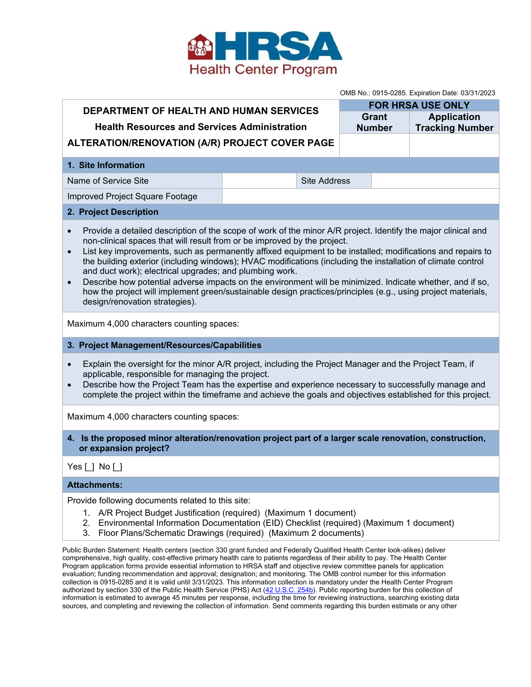

OMB No.: 0915-0285. Expiration Date: 03/31/2023

| <u>UMD NO. 0915-0265. Expiration Date. 03/31/2023</u>                                                                                                                                                                                                                                                                                                                                                                                                                                                                                                                                                                                                                                                                                                                                    |                     |  |               |                          |
|------------------------------------------------------------------------------------------------------------------------------------------------------------------------------------------------------------------------------------------------------------------------------------------------------------------------------------------------------------------------------------------------------------------------------------------------------------------------------------------------------------------------------------------------------------------------------------------------------------------------------------------------------------------------------------------------------------------------------------------------------------------------------------------|---------------------|--|---------------|--------------------------|
| DEPARTMENT OF HEALTH AND HUMAN SERVICES                                                                                                                                                                                                                                                                                                                                                                                                                                                                                                                                                                                                                                                                                                                                                  |                     |  |               | <b>FOR HRSA USE ONLY</b> |
| <b>Health Resources and Services Administration</b>                                                                                                                                                                                                                                                                                                                                                                                                                                                                                                                                                                                                                                                                                                                                      |                     |  | Grant         | <b>Application</b>       |
|                                                                                                                                                                                                                                                                                                                                                                                                                                                                                                                                                                                                                                                                                                                                                                                          |                     |  | <b>Number</b> | <b>Tracking Number</b>   |
| ALTERATION/RENOVATION (A/R) PROJECT COVER PAGE                                                                                                                                                                                                                                                                                                                                                                                                                                                                                                                                                                                                                                                                                                                                           |                     |  |               |                          |
| 1. Site Information                                                                                                                                                                                                                                                                                                                                                                                                                                                                                                                                                                                                                                                                                                                                                                      |                     |  |               |                          |
| Name of Service Site                                                                                                                                                                                                                                                                                                                                                                                                                                                                                                                                                                                                                                                                                                                                                                     | <b>Site Address</b> |  |               |                          |
| Improved Project Square Footage                                                                                                                                                                                                                                                                                                                                                                                                                                                                                                                                                                                                                                                                                                                                                          |                     |  |               |                          |
| 2. Project Description                                                                                                                                                                                                                                                                                                                                                                                                                                                                                                                                                                                                                                                                                                                                                                   |                     |  |               |                          |
| Provide a detailed description of the scope of work of the minor A/R project. Identify the major clinical and<br>$\bullet$<br>non-clinical spaces that will result from or be improved by the project.<br>List key improvements, such as permanently affixed equipment to be installed; modifications and repairs to<br>$\bullet$<br>the building exterior (including windows); HVAC modifications (including the installation of climate control<br>and duct work); electrical upgrades; and plumbing work.<br>Describe how potential adverse impacts on the environment will be minimized. Indicate whether, and if so,<br>$\bullet$<br>how the project will implement green/sustainable design practices/principles (e.g., using project materials,<br>design/renovation strategies). |                     |  |               |                          |
| Maximum 4,000 characters counting spaces:                                                                                                                                                                                                                                                                                                                                                                                                                                                                                                                                                                                                                                                                                                                                                |                     |  |               |                          |
| 3. Project Management/Resources/Capabilities                                                                                                                                                                                                                                                                                                                                                                                                                                                                                                                                                                                                                                                                                                                                             |                     |  |               |                          |
| Explain the oversight for the minor A/R project, including the Project Manager and the Project Team, if<br>$\bullet$<br>applicable, responsible for managing the project.<br>Describe how the Project Team has the expertise and experience necessary to successfully manage and<br>$\bullet$<br>complete the project within the timeframe and achieve the goals and objectives established for this project.                                                                                                                                                                                                                                                                                                                                                                            |                     |  |               |                          |
| Maximum 4,000 characters counting spaces:                                                                                                                                                                                                                                                                                                                                                                                                                                                                                                                                                                                                                                                                                                                                                |                     |  |               |                          |
| 4. Is the proposed minor alteration/renovation project part of a larger scale renovation, construction,<br>or expansion project?                                                                                                                                                                                                                                                                                                                                                                                                                                                                                                                                                                                                                                                         |                     |  |               |                          |
| Yes [ ] No [ ]                                                                                                                                                                                                                                                                                                                                                                                                                                                                                                                                                                                                                                                                                                                                                                           |                     |  |               |                          |
| <b>Attachments:</b>                                                                                                                                                                                                                                                                                                                                                                                                                                                                                                                                                                                                                                                                                                                                                                      |                     |  |               |                          |
| Provide following documents related to this site:<br>1. A/R Project Budget Justification (required) (Maximum 1 document)<br>2.<br>Environmental Information Documentation (EID) Checklist (required) (Maximum 1 document)<br>Floor Plans/Schematic Drawings (required) (Maximum 2 documents)<br>3.                                                                                                                                                                                                                                                                                                                                                                                                                                                                                       |                     |  |               |                          |
| Public Burden Statement: Health centers (section 330 grant funded and Federally Qualified Health Center look-alikes) deliver<br>comprehensive, high quality, cost-effective primary health care to patients regardless of their ability to pay. The Health Center<br>Program application forms provide essential information to HRSA staff and objective review committee panels for application<br>funding recommendation and approval: decignation: and monitoring. The OMR control number for this information                                                                                                                                                                                                                                                                        |                     |  |               |                          |

evaluation; funding recommendation and approval; designation; and monitoring. The OMB control number for this information collection is 0915-0285 and it is valid until 3/31/2023. This information collection is mandatory under the Health Center Program authorized by section 330 of the Public Health Service (PHS) Act (<u>42 U.S.C. 254b</u>). Public reporting burden for this collection of information is estimated to average 45 minutes per response, including the time for reviewing instructions, searching existing data sources, and completing and reviewing the collection of information. Send comments regarding this burden estimate or any other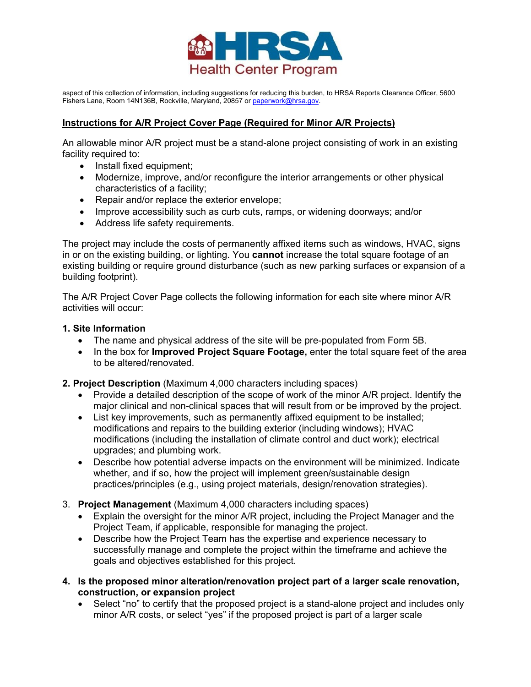

aspect of this collection of information, including suggestions for reducing this burden, to HRSA Reports Clearance Officer, 5600 Fishers Lane, Room 14N136B, Rockville, Maryland, 20857 or paperwork@hrsa.gov.

### **Instructions for A/R Project Cover Page (Required for Minor A/R Projects)**

An allowable minor A/R project must be a stand-alone project consisting of work in an existing facility required to:

- Install fixed equipment;
- Modernize, improve, and/or reconfigure the interior arrangements or other physical characteristics of a facility;
- Repair and/or replace the exterior envelope;
- Improve accessibility such as curb cuts, ramps, or widening doorways; and/or
- Address life safety requirements.

The project may include the costs of permanently affixed items such as windows, HVAC, signs in or on the existing building, or lighting. You **cannot** increase the total square footage of an existing building or require ground disturbance (such as new parking surfaces or expansion of a building footprint).

The A/R Project Cover Page collects the following information for each site where minor A/R activities will occur:

#### **1. Site Information**

- The name and physical address of the site will be pre-populated from Form 5B.
- In the box for **Improved Project Square Footage,** enter the total square feet of the area to be altered/renovated.

**2. Project Description** (Maximum 4,000 characters including spaces)

- Provide a detailed description of the scope of work of the minor A/R project. Identify the major clinical and non-clinical spaces that will result from or be improved by the project.
- List key improvements, such as permanently affixed equipment to be installed; modifications and repairs to the building exterior (including windows); HVAC modifications (including the installation of climate control and duct work); electrical upgrades; and plumbing work.
- Describe how potential adverse impacts on the environment will be minimized. Indicate whether, and if so, how the project will implement green/sustainable design practices/principles (e.g., using project materials, design/renovation strategies).
- 3. **Project Management** (Maximum 4,000 characters including spaces)
	- Explain the oversight for the minor A/R project, including the Project Manager and the Project Team, if applicable, responsible for managing the project.
	- Describe how the Project Team has the expertise and experience necessary to successfully manage and complete the project within the timeframe and achieve the goals and objectives established for this project.
- **4. Is the proposed minor alteration/renovation project part of a larger scale renovation, construction, or expansion project**
	- Select "no" to certify that the proposed project is a stand-alone project and includes only minor A/R costs, or select "yes" if the proposed project is part of a larger scale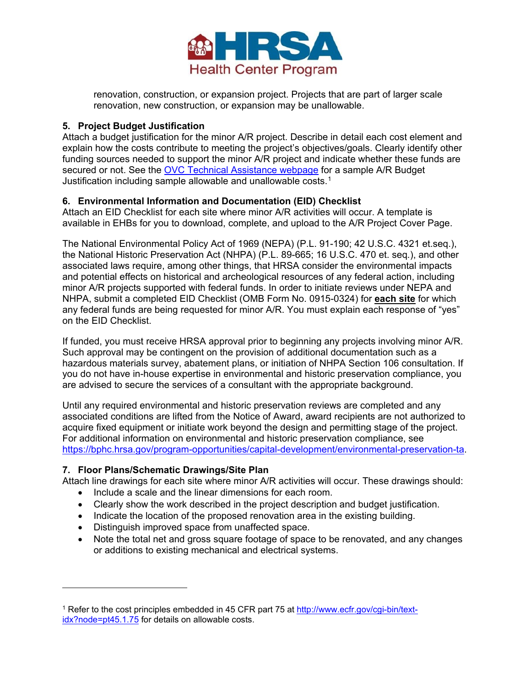

renovation, construction, or expansion project. Projects that are part of larger scale renovation, new construction, or expansion may be unallowable.

# **5. Project Budget Justification**

Attach a budget justification for the minor A/R project. Describe in detail each cost element and explain how the costs contribute to meeting the project's objectives/goals. Clearly identify other funding sources needed to support the minor A/R project and indicate whether these funds are secured or not. See the [OVC Technical Assistance webpage](https://bphc.hrsa.gov/program-opportunities/optimizing-virtual-care) for a sample A/R Budget Justification including sample allowable and unallowable costs.[1](#page-2-0)

#### **6. Environmental Information and Documentation (EID) Checklist**

Attach an EID Checklist for each site where minor A/R activities will occur. A template is available in EHBs for you to download, complete, and upload to the A/R Project Cover Page.

The National Environmental Policy Act of 1969 (NEPA) (P.L. 91-190; 42 U.S.C. 4321 et.seq.), the National Historic Preservation Act (NHPA) (P.L. 89-665; 16 U.S.C. 470 et. seq*.*), and other associated laws require, among other things, that HRSA consider the environmental impacts and potential effects on historical and archeological resources of any federal action, including minor A/R projects supported with federal funds. In order to initiate reviews under NEPA and NHPA, submit a completed EID Checklist (OMB Form No. 0915-0324) for **each site** for which any federal funds are being requested for minor A/R. You must explain each response of "yes" on the EID Checklist.

If funded, you must receive HRSA approval prior to beginning any projects involving minor A/R. Such approval may be contingent on the provision of additional documentation such as a hazardous materials survey, abatement plans, or initiation of NHPA Section 106 consultation. If you do not have in-house expertise in environmental and historic preservation compliance, you are advised to secure the services of a consultant with the appropriate background.

Until any required environmental and historic preservation reviews are completed and any associated conditions are lifted from the Notice of Award, award recipients are not authorized to acquire fixed equipment or initiate work beyond the design and permitting stage of the project. For additional information on environmental and historic preservation compliance, see [https://bphc.hrsa.gov/program-opportunities/capital-development/environmental-preservation-ta.](https://bphc.hrsa.gov/program-opportunities/capital-development/environmental-preservation-ta)

# **7. Floor Plans/Schematic Drawings/Site Plan**

 $\overline{\phantom{a}}$ 

Attach line drawings for each site where minor A/R activities will occur. These drawings should:

- Include a scale and the linear dimensions for each room.
- Clearly show the work described in the project description and budget justification.
- Indicate the location of the proposed renovation area in the existing building.
- Distinguish improved space from unaffected space.
- Note the total net and gross square footage of space to be renovated, and any changes or additions to existing mechanical and electrical systems.

<span id="page-2-0"></span><sup>1</sup> Refer to the cost principles embedded in 45 CFR part 75 at [http://www.ecfr.gov/cgi-bin/text](http://www.ecfr.gov/cgi-bin/text-idx?node=pt45.1.75)[idx?node=pt45.1.75](http://www.ecfr.gov/cgi-bin/text-idx?node=pt45.1.75) for details on allowable costs.